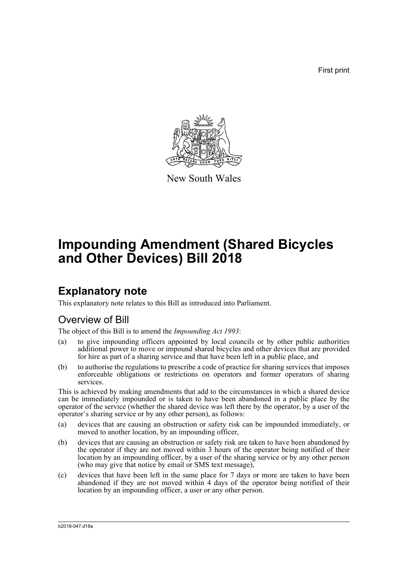First print



New South Wales

# **Impounding Amendment (Shared Bicycles and Other Devices) Bill 2018**

### **Explanatory note**

This explanatory note relates to this Bill as introduced into Parliament.

#### Overview of Bill

The object of this Bill is to amend the *Impounding Act 1993*:

- (a) to give impounding officers appointed by local councils or by other public authorities additional power to move or impound shared bicycles and other devices that are provided for hire as part of a sharing service and that have been left in a public place, and
- (b) to authorise the regulations to prescribe a code of practice for sharing services that imposes enforceable obligations or restrictions on operators and former operators of sharing services.

This is achieved by making amendments that add to the circumstances in which a shared device can be immediately impounded or is taken to have been abandoned in a public place by the operator of the service (whether the shared device was left there by the operator, by a user of the operator's sharing service or by any other person), as follows:

- (a) devices that are causing an obstruction or safety risk can be impounded immediately, or moved to another location, by an impounding officer,
- (b) devices that are causing an obstruction or safety risk are taken to have been abandoned by the operator if they are not moved within 3 hours of the operator being notified of their location by an impounding officer, by a user of the sharing service or by any other person (who may give that notice by email or SMS text message),
- (c) devices that have been left in the same place for 7 days or more are taken to have been abandoned if they are not moved within 4 days of the operator being notified of their location by an impounding officer, a user or any other person.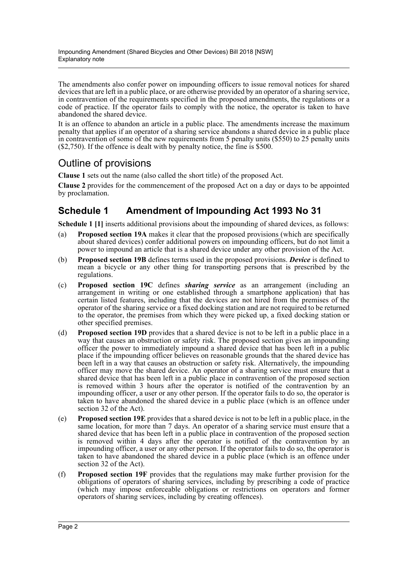The amendments also confer power on impounding officers to issue removal notices for shared devices that are left in a public place, or are otherwise provided by an operator of a sharing service, in contravention of the requirements specified in the proposed amendments, the regulations or a code of practice. If the operator fails to comply with the notice, the operator is taken to have abandoned the shared device.

It is an offence to abandon an article in a public place. The amendments increase the maximum penalty that applies if an operator of a sharing service abandons a shared device in a public place in contravention of some of the new requirements from 5 penalty units (\$550) to 25 penalty units (\$2,750). If the offence is dealt with by penalty notice, the fine is \$500.

### Outline of provisions

**Clause 1** sets out the name (also called the short title) of the proposed Act.

**Clause 2** provides for the commencement of the proposed Act on a day or days to be appointed by proclamation.

#### **Schedule 1 Amendment of Impounding Act 1993 No 31**

**Schedule 1 [1]** inserts additional provisions about the impounding of shared devices, as follows:

- (a) **Proposed section 19A** makes it clear that the proposed provisions (which are specifically about shared devices) confer additional powers on impounding officers, but do not limit a power to impound an article that is a shared device under any other provision of the Act.
- (b) **Proposed section 19B** defines terms used in the proposed provisions. *Device* is defined to mean a bicycle or any other thing for transporting persons that is prescribed by the regulations.
- (c) **Proposed section 19C** defines *sharing service* as an arrangement (including an arrangement in writing or one established through a smartphone application) that has certain listed features, including that the devices are not hired from the premises of the operator of the sharing service or a fixed docking station and are not required to be returned to the operator, the premises from which they were picked up, a fixed docking station or other specified premises.
- (d) **Proposed section 19D** provides that a shared device is not to be left in a public place in a way that causes an obstruction or safety risk. The proposed section gives an impounding officer the power to immediately impound a shared device that has been left in a public place if the impounding officer believes on reasonable grounds that the shared device has been left in a way that causes an obstruction or safety risk. Alternatively, the impounding officer may move the shared device. An operator of a sharing service must ensure that a shared device that has been left in a public place in contravention of the proposed section is removed within 3 hours after the operator is notified of the contravention by an impounding officer, a user or any other person. If the operator fails to do so, the operator is taken to have abandoned the shared device in a public place (which is an offence under section 32 of the Act).
- (e) **Proposed section 19E** provides that a shared device is not to be left in a public place, in the same location, for more than 7 days. An operator of a sharing service must ensure that a shared device that has been left in a public place in contravention of the proposed section is removed within 4 days after the operator is notified of the contravention by an impounding officer, a user or any other person. If the operator fails to do so, the operator is taken to have abandoned the shared device in a public place (which is an offence under section 32 of the Act).
- (f) **Proposed section 19F** provides that the regulations may make further provision for the obligations of operators of sharing services, including by prescribing a code of practice (which may impose enforceable obligations or restrictions on operators and former operators of sharing services, including by creating offences).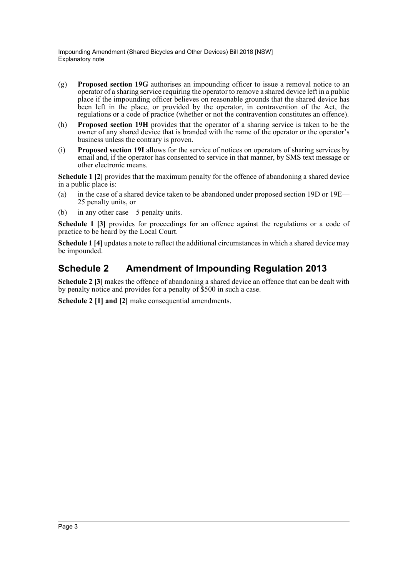- (g) **Proposed section 19G** authorises an impounding officer to issue a removal notice to an operator of a sharing service requiring the operator to remove a shared device left in a public place if the impounding officer believes on reasonable grounds that the shared device has been left in the place, or provided by the operator, in contravention of the Act, the regulations or a code of practice (whether or not the contravention constitutes an offence).
- (h) **Proposed section 19H** provides that the operator of a sharing service is taken to be the owner of any shared device that is branded with the name of the operator or the operator's business unless the contrary is proven.
- (i) **Proposed section 19I** allows for the service of notices on operators of sharing services by email and, if the operator has consented to service in that manner, by SMS text message or other electronic means.

**Schedule 1 [2]** provides that the maximum penalty for the offence of abandoning a shared device in a public place is:

- (a) in the case of a shared device taken to be abandoned under proposed section 19D or 19E— 25 penalty units, or
- (b) in any other case—5 penalty units.

**Schedule 1 [3]** provides for proceedings for an offence against the regulations or a code of practice to be heard by the Local Court.

**Schedule 1 [4]** updates a note to reflect the additional circumstances in which a shared device may be impounded.

#### **Schedule 2 Amendment of Impounding Regulation 2013**

**Schedule 2 [3]** makes the offence of abandoning a shared device an offence that can be dealt with by penalty notice and provides for a penalty of \$500 in such a case.

**Schedule 2 [1] and [2]** make consequential amendments.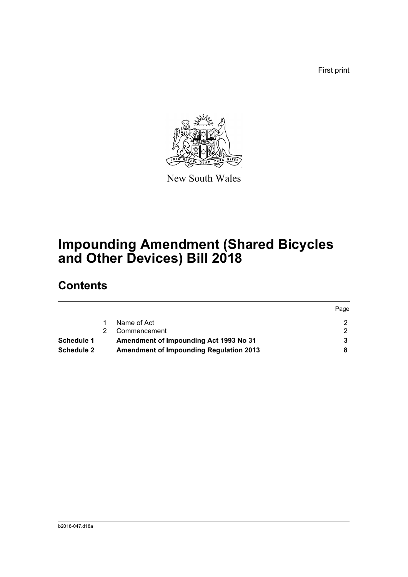First print



New South Wales

# **Impounding Amendment (Shared Bicycles and Other Devices) Bill 2018**

### **Contents**

|                   |                                                | Page |
|-------------------|------------------------------------------------|------|
|                   | Name of Act                                    |      |
|                   | Commencement                                   |      |
| Schedule 1        | Amendment of Impounding Act 1993 No 31         |      |
| <b>Schedule 2</b> | <b>Amendment of Impounding Regulation 2013</b> |      |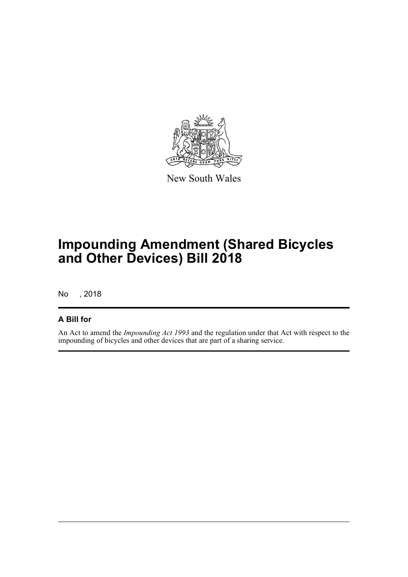

New South Wales

## **Impounding Amendment (Shared Bicycles and Other Devices) Bill 2018**

No , 2018

#### **A Bill for**

An Act to amend the *Impounding Act 1993* and the regulation under that Act with respect to the impounding of bicycles and other devices that are part of a sharing service.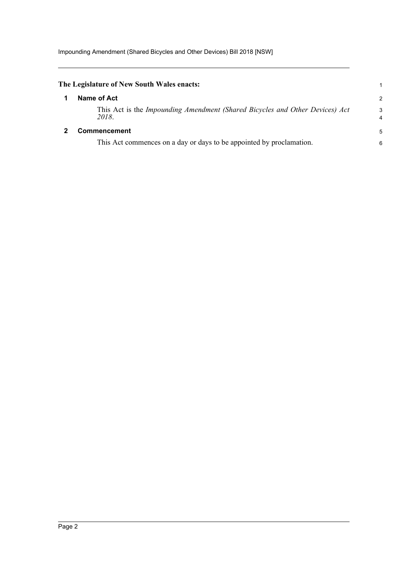<span id="page-5-1"></span><span id="page-5-0"></span>

| The Legislature of New South Wales enacts:                                            |        |
|---------------------------------------------------------------------------------------|--------|
| Name of Act                                                                           | 2      |
| This Act is the Impounding Amendment (Shared Bicycles and Other Devices) Act<br>2018. | 3<br>4 |
| <b>Commencement</b>                                                                   | 5      |
| This Act commences on a day or days to be appointed by proclamation.                  | 6      |
|                                                                                       |        |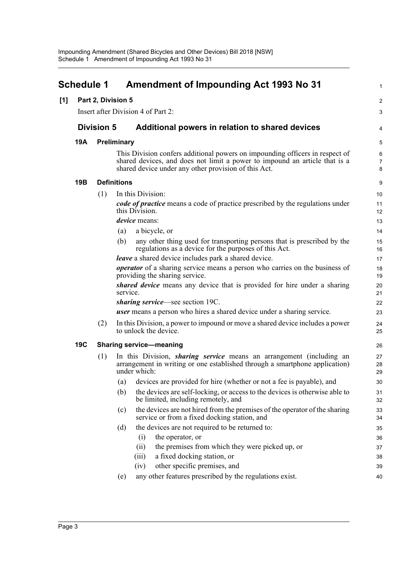<span id="page-6-0"></span>

| <b>Schedule 1</b> |            |                   | <b>Amendment of Impounding Act 1993 No 31</b>                                                                                                                                                                      | 1                        |
|-------------------|------------|-------------------|--------------------------------------------------------------------------------------------------------------------------------------------------------------------------------------------------------------------|--------------------------|
| [1]               |            |                   | Part 2, Division 5                                                                                                                                                                                                 | $\boldsymbol{2}$         |
|                   |            |                   | Insert after Division 4 of Part 2:                                                                                                                                                                                 | 3                        |
|                   |            | <b>Division 5</b> | Additional powers in relation to shared devices                                                                                                                                                                    | 4                        |
|                   | 19A        |                   | Preliminary                                                                                                                                                                                                        | 5                        |
|                   |            |                   | This Division confers additional powers on impounding officers in respect of<br>shared devices, and does not limit a power to impound an article that is a<br>shared device under any other provision of this Act. | 6<br>$\overline{7}$<br>8 |
|                   | 19B        |                   | <b>Definitions</b>                                                                                                                                                                                                 | 9                        |
|                   |            | (1)               | In this Division:                                                                                                                                                                                                  | 10                       |
|                   |            |                   | code of practice means a code of practice prescribed by the regulations under<br>this Division.                                                                                                                    | 11<br>12                 |
|                   |            |                   | <i>device</i> means:                                                                                                                                                                                               | 13                       |
|                   |            |                   | a bicycle, or<br>(a)                                                                                                                                                                                               | 14                       |
|                   |            |                   | any other thing used for transporting persons that is prescribed by the<br>(b)<br>regulations as a device for the purposes of this Act.                                                                            | 15<br>16                 |
|                   |            |                   | leave a shared device includes park a shared device.                                                                                                                                                               | 17                       |
|                   |            |                   | <i>operator</i> of a sharing service means a person who carries on the business of<br>providing the sharing service.                                                                                               | 18<br>19                 |
|                   |            |                   | shared device means any device that is provided for hire under a sharing<br>service.                                                                                                                               | 20<br>21                 |
|                   |            |                   | <i>sharing service</i> —see section 19C.                                                                                                                                                                           | 22                       |
|                   |            |                   | <b>user</b> means a person who hires a shared device under a sharing service.                                                                                                                                      | 23                       |
|                   |            | (2)               | In this Division, a power to impound or move a shared device includes a power<br>to unlock the device.                                                                                                             | 24<br>25                 |
|                   | <b>19C</b> |                   | <b>Sharing service-meaning</b>                                                                                                                                                                                     | 26                       |
|                   |            | (1)               | In this Division, <i>sharing service</i> means an arrangement (including an<br>arrangement in writing or one established through a smartphone application)<br>under which:                                         | 27<br>28<br>29           |
|                   |            |                   | devices are provided for hire (whether or not a fee is payable), and<br>(a)                                                                                                                                        | 30                       |
|                   |            |                   | (b)<br>the devices are self-locking, or access to the devices is otherwise able to<br>be limited, including remotely, and                                                                                          | 31<br>32                 |
|                   |            |                   | the devices are not hired from the premises of the operator of the sharing<br>(c)<br>service or from a fixed docking station, and                                                                                  | 33<br>34                 |
|                   |            |                   | the devices are not required to be returned to:<br>(d)                                                                                                                                                             | 35                       |
|                   |            |                   | the operator, or<br>(i)                                                                                                                                                                                            | 36                       |
|                   |            |                   | the premises from which they were picked up, or<br>(ii)                                                                                                                                                            | 37                       |
|                   |            |                   | a fixed docking station, or<br>(iii)                                                                                                                                                                               | 38                       |
|                   |            |                   | other specific premises, and<br>(iv)                                                                                                                                                                               | 39                       |
|                   |            |                   | any other features prescribed by the regulations exist.<br>(e)                                                                                                                                                     | 40                       |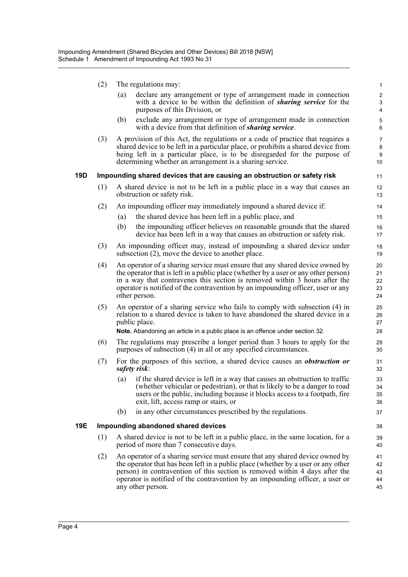|     | (2) | The regulations may:                                                                                                                                                                                                                                                                                                                                   |                                       |  |  |
|-----|-----|--------------------------------------------------------------------------------------------------------------------------------------------------------------------------------------------------------------------------------------------------------------------------------------------------------------------------------------------------------|---------------------------------------|--|--|
|     |     | declare any arrangement or type of arrangement made in connection<br>(a)<br>with a device to be within the definition of <i>sharing service</i> for the<br>purposes of this Division, or                                                                                                                                                               | $\overline{c}$<br>3<br>$\overline{4}$ |  |  |
|     |     | (b)<br>exclude any arrangement or type of arrangement made in connection<br>with a device from that definition of <i>sharing service</i> .                                                                                                                                                                                                             | 5<br>6                                |  |  |
|     | (3) | A provision of this Act, the regulations or a code of practice that requires a<br>shared device to be left in a particular place, or prohibits a shared device from<br>being left in a particular place, is to be disregarded for the purpose of<br>determining whether an arrangement is a sharing service.                                           | $\overline{7}$<br>8<br>9<br>10        |  |  |
| 19D |     | Impounding shared devices that are causing an obstruction or safety risk                                                                                                                                                                                                                                                                               | 11                                    |  |  |
|     | (1) | A shared device is not to be left in a public place in a way that causes an<br>obstruction or safety risk.                                                                                                                                                                                                                                             | 12<br>13                              |  |  |
|     | (2) | An impounding officer may immediately impound a shared device if:                                                                                                                                                                                                                                                                                      | 14                                    |  |  |
|     |     | the shared device has been left in a public place, and<br>(a)                                                                                                                                                                                                                                                                                          | 15                                    |  |  |
|     |     | (b)<br>the impounding officer believes on reasonable grounds that the shared<br>device has been left in a way that causes an obstruction or safety risk.                                                                                                                                                                                               | 16<br>17                              |  |  |
|     | (3) | An impounding officer may, instead of impounding a shared device under<br>subsection $(2)$ , move the device to another place.                                                                                                                                                                                                                         | 18<br>19                              |  |  |
|     | (4) | An operator of a sharing service must ensure that any shared device owned by<br>the operator that is left in a public place (whether by a user or any other person)<br>in a way that contravenes this section is removed within 3 hours after the<br>operator is notified of the contravention by an impounding officer, user or any<br>other person.  | 20<br>21<br>22<br>23<br>24            |  |  |
|     | (5) | An operator of a sharing service who fails to comply with subsection (4) in<br>relation to a shared device is taken to have abandoned the shared device in a<br>public place.<br>Note. Abandoning an article in a public place is an offence under section 32.                                                                                         | 25<br>26<br>27<br>28                  |  |  |
|     | (6) | The regulations may prescribe a longer period than 3 hours to apply for the<br>purposes of subsection (4) in all or any specified circumstances.                                                                                                                                                                                                       | 29<br>30                              |  |  |
|     | (7) | For the purposes of this section, a shared device causes an <i>obstruction</i> or<br>safety risk:                                                                                                                                                                                                                                                      | 31<br>32                              |  |  |
|     |     | if the shared device is left in a way that causes an obstruction to traffic<br>(a)<br>(whether vehicular or pedestrian), or that is likely to be a danger to road<br>users or the public, including because it blocks access to a footpath, fire<br>exit, lift, access ramp or stairs, or                                                              | 33<br>34<br>35<br>36                  |  |  |
|     |     | in any other circumstances prescribed by the regulations.<br>(b)                                                                                                                                                                                                                                                                                       | 37                                    |  |  |
| 19E |     | Impounding abandoned shared devices                                                                                                                                                                                                                                                                                                                    | 38                                    |  |  |
|     | (1) | A shared device is not to be left in a public place, in the same location, for a<br>period of more than 7 consecutive days.                                                                                                                                                                                                                            | 39<br>40                              |  |  |
|     | (2) | An operator of a sharing service must ensure that any shared device owned by<br>the operator that has been left in a public place (whether by a user or any other<br>person) in contravention of this section is removed within 4 days after the<br>operator is notified of the contravention by an impounding officer, a user or<br>any other person. | 41<br>42<br>43<br>44<br>45            |  |  |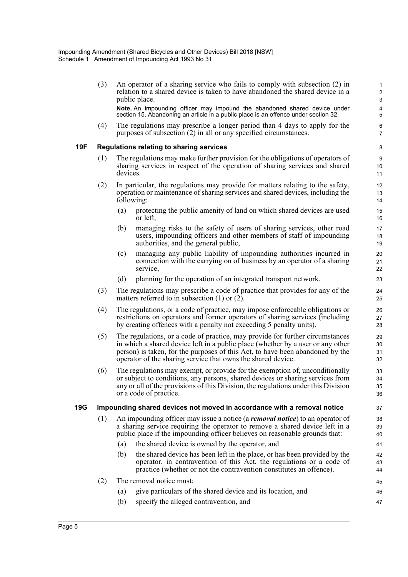|     | (3)                                                                           |                                                                                                                                                                                                                                                                                                                   | An operator of a sharing service who fails to comply with subsection (2) in<br>relation to a shared device is taken to have abandoned the shared device in a<br>public place.                                                                | $\mathbf{1}$<br>$\overline{2}$<br>3 |  |  |
|-----|-------------------------------------------------------------------------------|-------------------------------------------------------------------------------------------------------------------------------------------------------------------------------------------------------------------------------------------------------------------------------------------------------------------|----------------------------------------------------------------------------------------------------------------------------------------------------------------------------------------------------------------------------------------------|-------------------------------------|--|--|
|     |                                                                               |                                                                                                                                                                                                                                                                                                                   | Note. An impounding officer may impound the abandoned shared device under<br>section 15. Abandoning an article in a public place is an offence under section 32.                                                                             | 4<br>5                              |  |  |
|     | (4)                                                                           |                                                                                                                                                                                                                                                                                                                   | The regulations may prescribe a longer period than 4 days to apply for the<br>purposes of subsection (2) in all or any specified circumstances.                                                                                              | 6<br>$\overline{7}$                 |  |  |
| 19F |                                                                               |                                                                                                                                                                                                                                                                                                                   | Regulations relating to sharing services                                                                                                                                                                                                     | 8                                   |  |  |
|     | (1)                                                                           | The regulations may make further provision for the obligations of operators of<br>sharing services in respect of the operation of sharing services and shared<br>devices.                                                                                                                                         |                                                                                                                                                                                                                                              |                                     |  |  |
|     | (2)                                                                           |                                                                                                                                                                                                                                                                                                                   | In particular, the regulations may provide for matters relating to the safety,<br>operation or maintenance of sharing services and shared devices, including the<br>following:                                                               | 12<br>13<br>14                      |  |  |
|     |                                                                               | (a)                                                                                                                                                                                                                                                                                                               | protecting the public amenity of land on which shared devices are used<br>or left,                                                                                                                                                           | 15<br>16                            |  |  |
|     |                                                                               | (b)                                                                                                                                                                                                                                                                                                               | managing risks to the safety of users of sharing services, other road<br>users, impounding officers and other members of staff of impounding<br>authorities, and the general public,                                                         | 17<br>18<br>19                      |  |  |
|     |                                                                               | (c)                                                                                                                                                                                                                                                                                                               | managing any public liability of impounding authorities incurred in<br>connection with the carrying on of business by an operator of a sharing<br>service,                                                                                   | 20<br>21<br>22                      |  |  |
|     |                                                                               | (d)                                                                                                                                                                                                                                                                                                               | planning for the operation of an integrated transport network.                                                                                                                                                                               | 23                                  |  |  |
|     | (3)                                                                           |                                                                                                                                                                                                                                                                                                                   | The regulations may prescribe a code of practice that provides for any of the<br>matters referred to in subsection $(1)$ or $(2)$ .                                                                                                          | 24<br>25                            |  |  |
|     | (4)                                                                           |                                                                                                                                                                                                                                                                                                                   | The regulations, or a code of practice, may impose enforceable obligations or<br>restrictions on operators and former operators of sharing services (including<br>by creating offences with a penalty not exceeding 5 penalty units).        | 26<br>27<br>28                      |  |  |
|     | (5)                                                                           | The regulations, or a code of practice, may provide for further circumstances<br>in which a shared device left in a public place (whether by a user or any other<br>person) is taken, for the purposes of this Act, to have been abandoned by the<br>operator of the sharing service that owns the shared device. |                                                                                                                                                                                                                                              |                                     |  |  |
|     | (6)                                                                           | The regulations may exempt, or provide for the exemption of, unconditionally<br>or subject to conditions, any persons, shared devices or sharing services from<br>any or all of the provisions of this Division, the regulations under this Division<br>or a code of practice.                                    |                                                                                                                                                                                                                                              |                                     |  |  |
| 19G | Impounding shared devices not moved in accordance with a removal notice<br>37 |                                                                                                                                                                                                                                                                                                                   |                                                                                                                                                                                                                                              |                                     |  |  |
|     | (1)                                                                           |                                                                                                                                                                                                                                                                                                                   | An impounding officer may issue a notice (a removal notice) to an operator of<br>a sharing service requiring the operator to remove a shared device left in a<br>public place if the impounding officer believes on reasonable grounds that: | 38<br>39<br>40                      |  |  |
|     |                                                                               | (a)                                                                                                                                                                                                                                                                                                               | the shared device is owned by the operator, and                                                                                                                                                                                              | 41                                  |  |  |
|     |                                                                               | (b)                                                                                                                                                                                                                                                                                                               | the shared device has been left in the place, or has been provided by the<br>operator, in contravention of this Act, the regulations or a code of<br>practice (whether or not the contravention constitutes an offence).                     | 42<br>43<br>44                      |  |  |
|     | (2)                                                                           |                                                                                                                                                                                                                                                                                                                   | The removal notice must:                                                                                                                                                                                                                     | 45                                  |  |  |
|     |                                                                               | (a)                                                                                                                                                                                                                                                                                                               | give particulars of the shared device and its location, and                                                                                                                                                                                  | 46                                  |  |  |
|     |                                                                               | (b)                                                                                                                                                                                                                                                                                                               | specify the alleged contravention, and                                                                                                                                                                                                       | 47                                  |  |  |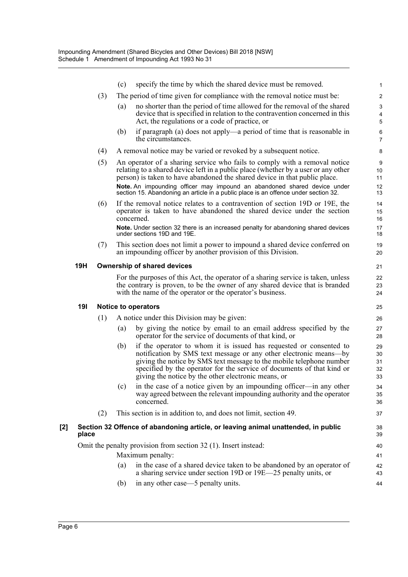|     |            |     | (c) | specify the time by which the shared device must be removed.                                                                                                                                                                                                                                                                                                                                                      | 1                             |
|-----|------------|-----|-----|-------------------------------------------------------------------------------------------------------------------------------------------------------------------------------------------------------------------------------------------------------------------------------------------------------------------------------------------------------------------------------------------------------------------|-------------------------------|
|     |            | (3) |     | The period of time given for compliance with the removal notice must be:                                                                                                                                                                                                                                                                                                                                          | $\overline{2}$                |
|     |            |     | (a) | no shorter than the period of time allowed for the removal of the shared                                                                                                                                                                                                                                                                                                                                          | 3                             |
|     |            |     |     | device that is specified in relation to the contravention concerned in this<br>Act, the regulations or a code of practice, or                                                                                                                                                                                                                                                                                     | $\overline{4}$<br>$\mathbf 5$ |
|     |            |     | (b) | if paragraph (a) does not apply—a period of time that is reasonable in<br>the circumstances.                                                                                                                                                                                                                                                                                                                      | 6<br>7                        |
|     |            | (4) |     | A removal notice may be varied or revoked by a subsequent notice.                                                                                                                                                                                                                                                                                                                                                 | 8                             |
|     |            | (5) |     | An operator of a sharing service who fails to comply with a removal notice<br>relating to a shared device left in a public place (whether by a user or any other<br>person) is taken to have abandoned the shared device in that public place.<br>Note. An impounding officer may impound an abandoned shared device under<br>section 15. Abandoning an article in a public place is an offence under section 32. | 9<br>10<br>11<br>12<br>13     |
|     |            | (6) |     | If the removal notice relates to a contravention of section 19D or 19E, the<br>operator is taken to have abandoned the shared device under the section<br>concerned.                                                                                                                                                                                                                                              | 14<br>15<br>16                |
|     |            |     |     | Note. Under section 32 there is an increased penalty for abandoning shared devices<br>under sections 19D and 19E.                                                                                                                                                                                                                                                                                                 | 17<br>18                      |
|     |            | (7) |     | This section does not limit a power to impound a shared device conferred on<br>an impounding officer by another provision of this Division.                                                                                                                                                                                                                                                                       | 19<br>20                      |
|     | <b>19H</b> |     |     | <b>Ownership of shared devices</b>                                                                                                                                                                                                                                                                                                                                                                                | 21                            |
|     |            |     |     | For the purposes of this Act, the operator of a sharing service is taken, unless<br>the contrary is proven, to be the owner of any shared device that is branded<br>with the name of the operator or the operator's business.                                                                                                                                                                                     | 22<br>23<br>24                |
|     | 191        |     |     | <b>Notice to operators</b>                                                                                                                                                                                                                                                                                                                                                                                        | 25                            |
|     |            | (1) |     | A notice under this Division may be given:                                                                                                                                                                                                                                                                                                                                                                        | 26                            |
|     |            |     | (a) | by giving the notice by email to an email address specified by the<br>operator for the service of documents of that kind, or                                                                                                                                                                                                                                                                                      | 27<br>28                      |
|     |            |     | (b) | if the operator to whom it is issued has requested or consented to<br>notification by SMS text message or any other electronic means—by<br>giving the notice by SMS text message to the mobile telephone number<br>specified by the operator for the service of documents of that kind or<br>giving the notice by the other electronic means, or                                                                  | 29<br>30<br>31<br>32<br>33    |
|     |            |     | (c) | in the case of a notice given by an impounding officer-in any other<br>way agreed between the relevant impounding authority and the operator<br>concerned.                                                                                                                                                                                                                                                        | 34<br>35<br>36                |
|     |            | (2) |     | This section is in addition to, and does not limit, section 49.                                                                                                                                                                                                                                                                                                                                                   | 37                            |
| [2] | place      |     |     | Section 32 Offence of abandoning article, or leaving animal unattended, in public                                                                                                                                                                                                                                                                                                                                 | 38<br>39                      |
|     |            |     |     | Omit the penalty provision from section 32 (1). Insert instead:                                                                                                                                                                                                                                                                                                                                                   | 40                            |
|     |            |     |     | Maximum penalty:                                                                                                                                                                                                                                                                                                                                                                                                  | 41                            |
|     |            |     | (a) | in the case of a shared device taken to be abandoned by an operator of<br>a sharing service under section 19D or 19E—25 penalty units, or                                                                                                                                                                                                                                                                         | 42<br>43                      |
|     |            |     | (b) | in any other case—5 penalty units.                                                                                                                                                                                                                                                                                                                                                                                | 44                            |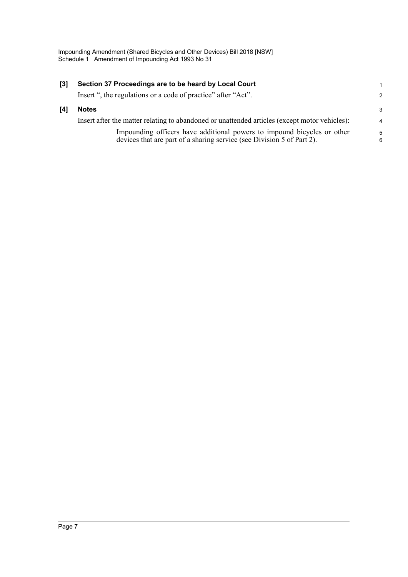| $\lceil 3 \rceil$ | Section 37 Proceedings are to be heard by Local Court                                         |                |
|-------------------|-----------------------------------------------------------------------------------------------|----------------|
|                   | Insert ", the regulations or a code of practice" after "Act".                                 | 2              |
| [4]               | <b>Notes</b>                                                                                  | 3              |
|                   | Insert after the matter relating to abandoned or unattended articles (except motor vehicles): | $\overline{4}$ |
|                   | Impounding officers have additional powers to impound bicycles or other                       | 5              |
|                   | devices that are part of a sharing service (see Division 5 of Part 2).                        | 6              |